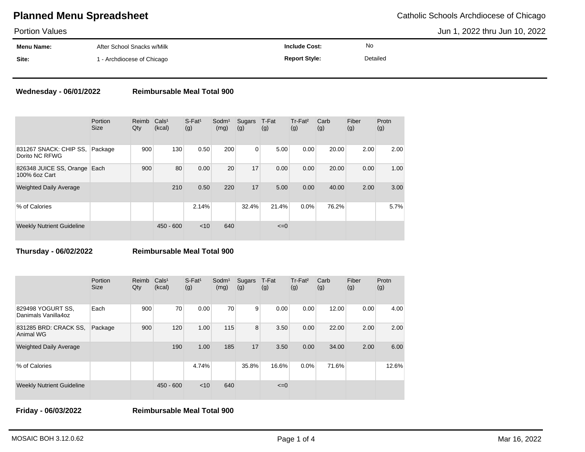# **Planned Menu Spreadsheet** Catholic Schools Archdiocese of Chicago

Portion Values

Jun 1, 2022 thru Jun 10, 2022

| .          |                                       |                      |           |  |
|------------|---------------------------------------|----------------------|-----------|--|
| Menu Name: | After School Snacks w/Milk            | <b>Include Cost:</b> | <b>No</b> |  |
| Site:      | <sup>1</sup> - Archdiocese of Chicago | <b>Report Style:</b> | Detailed  |  |

### **Wednesday - 06/01/2022 Reimbursable Meal Total 900**

|                                               | Portion<br><b>Size</b> | Reimb<br>Qty | Cals <sup>1</sup><br>(kcal) | $S$ -Fat <sup>1</sup><br>(g) | Sodm <sup>1</sup><br>(mg) | Sugars<br>(g) | T-Fat<br>(g) | Tr-Fat <sup>2</sup><br>(g) | Carb<br>(g) | Fiber<br>(g) | Protn<br>(g) |
|-----------------------------------------------|------------------------|--------------|-----------------------------|------------------------------|---------------------------|---------------|--------------|----------------------------|-------------|--------------|--------------|
| 831267 SNACK: CHIP SS,<br>Dorito NC RFWG      | Package                | 900          | 130                         | 0.50                         | 200                       | 0             | 5.00         | 0.00                       | 20.00       | 2.00         | 2.00         |
| 826348 JUICE SS, Orange Each<br>100% 6oz Cart |                        | 900          | 80                          | 0.00                         | 20                        | 17            | 0.00         | 0.00                       | 20.00       | 0.00         | 1.00         |
| <b>Weighted Daily Average</b>                 |                        |              | 210                         | 0.50                         | 220                       | 17            | 5.00         | 0.00                       | 40.00       | 2.00         | 3.00         |
| % of Calories                                 |                        |              |                             | 2.14%                        |                           | 32.4%         | 21.4%        | 0.0%                       | 76.2%       |              | 5.7%         |
| <b>Weekly Nutrient Guideline</b>              |                        |              | $450 - 600$                 | $<$ 10                       | 640                       |               | $\leq=0$     |                            |             |              |              |

**Thursday - 06/02/2022 Reimbursable Meal Total 900**

|                                          | Portion<br><b>Size</b> | Reimb<br>Qty | Cals <sup>1</sup><br>(kcal) | $S$ -Fat <sup>1</sup><br>(g) | Sodm <sup>1</sup><br>(mg) | Sugars<br>(g) | T-Fat<br>(g) | Tr-Fat <sup>2</sup><br>(g) | Carb<br>(g) | Fiber<br>(g) | Protn<br>(g) |
|------------------------------------------|------------------------|--------------|-----------------------------|------------------------------|---------------------------|---------------|--------------|----------------------------|-------------|--------------|--------------|
| 829498 YOGURT SS,<br>Danimals Vanilla4oz | Each                   | 900          | 70                          | 0.00                         | 70                        | 9             | 0.00         | 0.00                       | 12.00       | 0.00         | 4.00         |
| 831285 BRD: CRACK SS.<br>Animal WG       | Package                | 900          | 120                         | 1.00                         | 115                       | 8             | 3.50         | 0.00                       | 22.00       | 2.00         | 2.00         |
| <b>Weighted Daily Average</b>            |                        |              | 190                         | 1.00                         | 185                       | 17            | 3.50         | 0.00                       | 34.00       | 2.00         | 6.00         |
| % of Calories                            |                        |              |                             | 4.74%                        |                           | 35.8%         | 16.6%        | 0.0%                       | 71.6%       |              | 12.6%        |
| <b>Weekly Nutrient Guideline</b>         |                        |              | $450 - 600$                 | < 10                         | 640                       |               | $\leq=0$     |                            |             |              |              |

**Friday - 06/03/2022 Reimbursable Meal Total 900**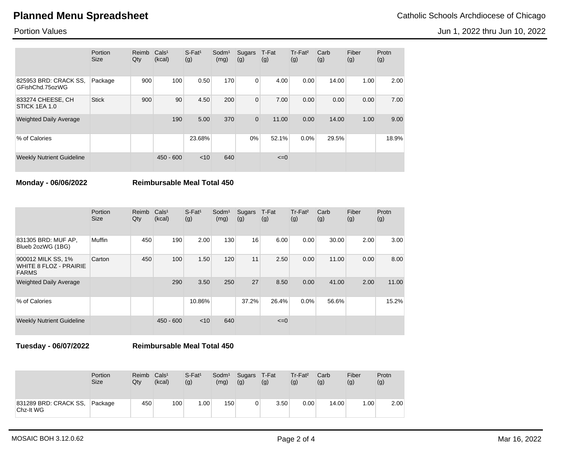# **Planned Menu Spreadsheet** Catholic Schools Archdiocese of Chicago

Jun 1, 2022 thru Jun 10, 2022

Portion Values

|                                          | Portion<br><b>Size</b> | Reimb<br>Qty | Cals <sup>1</sup><br>(kcal) | $S$ -Fat <sup>1</sup><br>(g) | Sodm <sup>1</sup><br>(mg) | Sugars<br>(g)  | T-Fat<br>(g) | $Tr-Fat2$<br>(g) | Carb<br>(g) | Fiber<br>(g) | Protn<br>(g) |
|------------------------------------------|------------------------|--------------|-----------------------------|------------------------------|---------------------------|----------------|--------------|------------------|-------------|--------------|--------------|
| 825953 BRD: CRACK SS,<br>GFishChd.75ozWG | Package                | 900          | 100                         | 0.50                         | 170                       | 0              | 4.00         | 0.00             | 14.00       | 1.00         | 2.00         |
| 833274 CHEESE, CH<br>STICK 1EA 1.0       | <b>Stick</b>           | 900          | 90                          | 4.50                         | 200                       | $\overline{0}$ | 7.00         | 0.00             | 0.00        | 0.00         | 7.00         |
| <b>Weighted Daily Average</b>            |                        |              | 190                         | 5.00                         | 370                       | 0              | 11.00        | 0.00             | 14.00       | 1.00         | 9.00         |
| % of Calories                            |                        |              |                             | 23.68%                       |                           | 0%             | 52.1%        | 0.0%             | 29.5%       |              | 18.9%        |
| <b>Weekly Nutrient Guideline</b>         |                        |              | $450 - 600$                 | $<$ 10                       | 640                       |                | $\leq=0$     |                  |             |              |              |

**Monday - 06/06/2022 Reimbursable Meal Total 450**

|                                                                     | Portion<br><b>Size</b> | Reimb<br>Qty | Cals <sup>1</sup><br>(kcal) | $S$ -Fat <sup>1</sup><br>(g) | Sodm <sup>1</sup><br>(mg) | Sugars<br>(g) | T-Fat<br>(g) | $Tr-Fat2$<br>(g) | Carb<br>(g) | Fiber<br>(g) | Protn<br>(g) |
|---------------------------------------------------------------------|------------------------|--------------|-----------------------------|------------------------------|---------------------------|---------------|--------------|------------------|-------------|--------------|--------------|
| 831305 BRD: MUF AP,<br>Blueb 2ozWG (1BG)                            | Muffin                 | 450          | 190                         | 2.00                         | 130                       | 16            | 6.00         | 0.00             | 30.00       | 2.00         | 3.00         |
| 900012 MILK SS, 1%<br><b>WHITE 8 FLOZ - PRAIRIE</b><br><b>FARMS</b> | Carton                 | 450          | 100                         | 1.50                         | 120                       | 11            | 2.50         | 0.00             | 11.00       | 0.00         | 8.00         |
| <b>Weighted Daily Average</b>                                       |                        |              | 290                         | 3.50                         | 250                       | 27            | 8.50         | 0.00             | 41.00       | 2.00         | 11.00        |
| % of Calories                                                       |                        |              |                             | 10.86%                       |                           | 37.2%         | 26.4%        | 0.0%             | 56.6%       |              | 15.2%        |
| <b>Weekly Nutrient Guideline</b>                                    |                        |              | $450 - 600$                 | $<$ 10                       | 640                       |               | $\leq=0$     |                  |             |              |              |

**Tuesday - 06/07/2022 Reimbursable Meal Total 450**

|                                    | <b>Portion</b><br><b>Size</b> | Reimb<br>Qtv | Cals <sup>1</sup><br>(kcal) | $S$ -Fat <sup>1</sup><br>(g) | Sodm <sup>1</sup><br>(mg) | Sugars T-Fat<br>(g) | (g)  | $Tr-Fat2$<br>(g) | Carb<br>(g) | Fiber<br>(g) | Protn<br>(g) |
|------------------------------------|-------------------------------|--------------|-----------------------------|------------------------------|---------------------------|---------------------|------|------------------|-------------|--------------|--------------|
| 831289 BRD: CRACK SS,<br>Chz-It WG | Package                       | 450          | 100                         | 1.00                         | 150                       | 0                   | 3.50 | 0.00             | 14.00       | 1.00         | 2.00         |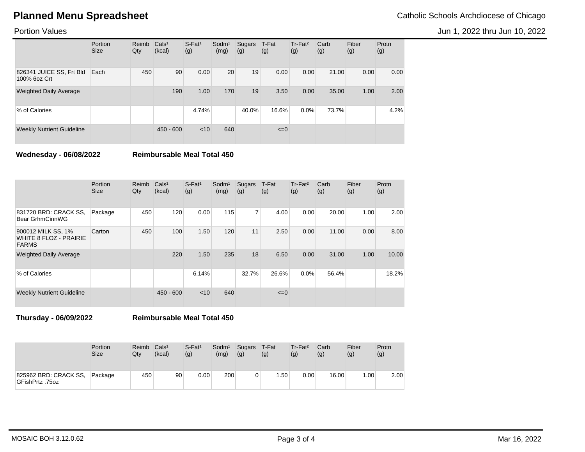# **Planned Menu Spreadsheet** Catholic Schools Archdiocese of Chicago

Jun 1, 2022 thru Jun 10, 2022

Portion Values

|                                          | Portion<br><b>Size</b> | Reimb<br>Qty | Cals <sup>1</sup><br>(kcal) | $S$ -Fat <sup>1</sup><br>(g) | Sodm <sup>1</sup><br>(mg) | Sugars<br>(g) | T-Fat<br>(g) | Tr-Fat <sup>2</sup><br>(g) | Carb<br>(g) | Fiber<br>(g) | Protn<br>(g) |
|------------------------------------------|------------------------|--------------|-----------------------------|------------------------------|---------------------------|---------------|--------------|----------------------------|-------------|--------------|--------------|
| 826341 JUICE SS, Frt Bld<br>100% 6oz Crt | Each                   | 450          | 90                          | 0.00                         | 20                        | 19            | 0.00         | 0.00                       | 21.00       | 0.00         | 0.00         |
| <b>Weighted Daily Average</b>            |                        |              | 190                         | 1.00                         | 170                       | 19            | 3.50         | 0.00                       | 35.00       | 1.00         | 2.00         |
| % of Calories                            |                        |              |                             | 4.74%                        |                           | 40.0%         | 16.6%        | 0.0%                       | 73.7%       |              | 4.2%         |
| <b>Weekly Nutrient Guideline</b>         |                        |              | $450 - 600$                 | < 10                         | 640                       |               | $\leq=0$     |                            |             |              |              |

**Wednesday - 06/08/2022 Reimbursable Meal Total 450**

|                                                                     | Portion<br><b>Size</b> | Reimb<br>Qty | Cals <sup>1</sup><br>(kcal) | $S$ -Fat <sup>1</sup><br>(g) | Sodm <sup>1</sup><br>(mg) | Sugars<br>(g)  | T-Fat<br>(g) | Tr-Fat <sup>2</sup><br>(g) | Carb<br>(g) | Fiber<br>(g) | Protn<br>(g) |
|---------------------------------------------------------------------|------------------------|--------------|-----------------------------|------------------------------|---------------------------|----------------|--------------|----------------------------|-------------|--------------|--------------|
| 831720 BRD: CRACK SS,<br>Bear GrhmCinnWG                            | Package                | 450          | 120                         | 0.00                         | 115                       | $\overline{7}$ | 4.00         | 0.00                       | 20.00       | 1.00         | 2.00         |
| 900012 MILK SS, 1%<br><b>WHITE 8 FLOZ - PRAIRIE</b><br><b>FARMS</b> | Carton                 | 450          | 100                         | 1.50                         | 120                       | 11             | 2.50         | 0.00                       | 11.00       | 0.00         | 8.00         |
| <b>Weighted Daily Average</b>                                       |                        |              | 220                         | 1.50                         | 235                       | 18             | 6.50         | 0.00                       | 31.00       | 1.00         | 10.00        |
| % of Calories                                                       |                        |              |                             | 6.14%                        |                           | 32.7%          | 26.6%        | 0.0%                       | 56.4%       |              | 18.2%        |
| <b>Weekly Nutrient Guideline</b>                                    |                        |              | $450 - 600$                 | < 10                         | 640                       |                | $\leq=0$     |                            |             |              |              |

**Thursday - 06/09/2022 Reimbursable Meal Total 450**

|                                          | <b>Portion</b><br><b>Size</b> | Reimb<br>Qty | Cals <sup>1</sup><br>(kcal) | $S$ -Fat <sup>1</sup><br>(g) | Sodm <sup>1</sup><br>(mg) | Sugars T-Fat<br>(g) | (g)              | Tr-Fat <sup>2</sup><br>(g) | Carb<br>(g) | Fiber<br>(g) | Protn<br>(g) |
|------------------------------------------|-------------------------------|--------------|-----------------------------|------------------------------|---------------------------|---------------------|------------------|----------------------------|-------------|--------------|--------------|
| 825962 BRD: CRACK SS,<br>GFishPrtz .75oz | Package                       | 450          | 90                          | 0.00                         | 200                       | 0                   | .50 <sub>1</sub> | 0.00                       | 16.00       | 1.00         | 2.00         |

MOSAIC BOH 3.12.0.62 Mar 16, 2022